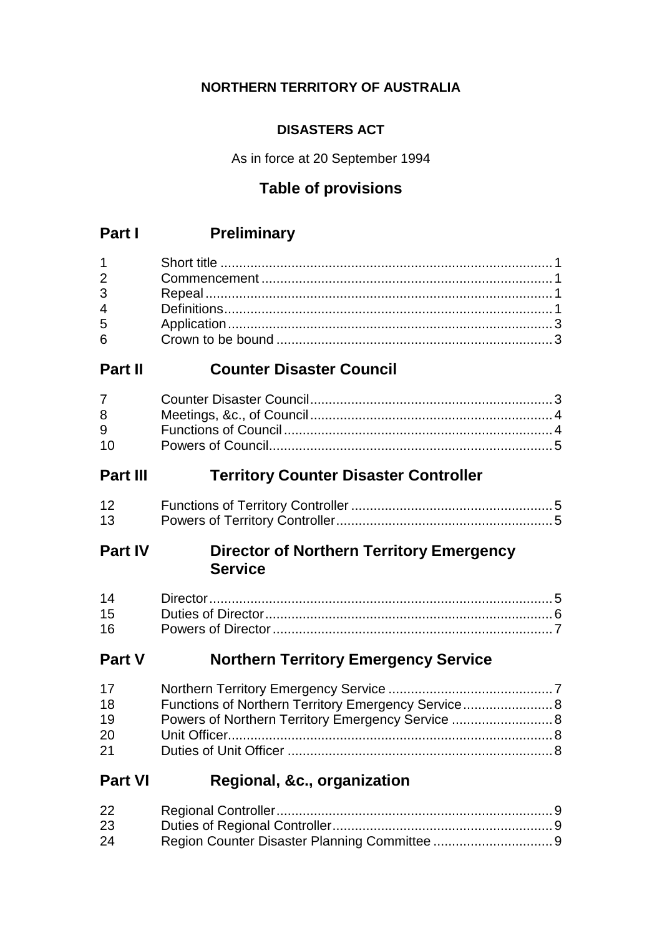## **NORTHERN TERRITORY OF AUSTRALIA**

## **DISASTERS ACT**

As in force at 20 September 1994

## **Table of provisions**

## **Part I Preliminary**

| $1 \quad \blacksquare$ |  |
|------------------------|--|
| $\overline{2}$         |  |
| $3^{\circ}$            |  |
|                        |  |
| 5 <sub>5</sub>         |  |
| $6 \quad$              |  |

## **Part II Counter Disaster Council**

| $7 \quad \sigma$ |  |
|------------------|--|
| 8 - 10           |  |
| $9^{\circ}$      |  |
| $10 -$           |  |

## **Part III Territory Counter Disaster Controller**

| 12 |  |
|----|--|
| 13 |  |

## **Part IV Director of Northern Territory Emergency Service**

| 16 |  |
|----|--|

## **Part V Northern Territory Emergency Service**

| 17 |                                                     |  |
|----|-----------------------------------------------------|--|
| 18 | Functions of Northern Territory Emergency Service 8 |  |
| 19 | Powers of Northern Territory Emergency Service  8   |  |
| 20 |                                                     |  |
| 21 |                                                     |  |

## **Part VI Regional, &c., organization**

| 22 |  |
|----|--|
| 23 |  |
| 24 |  |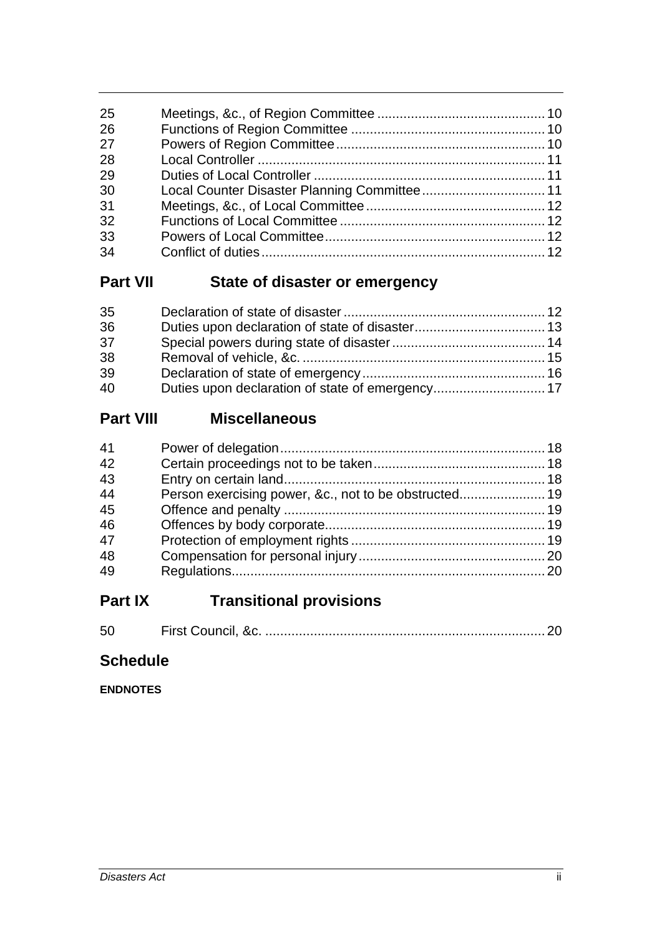| 25 |  |
|----|--|
| 26 |  |
| 27 |  |
| 28 |  |
| 29 |  |
| 30 |  |
| 31 |  |
| 32 |  |
| 33 |  |
| 34 |  |
|    |  |

## **Part VII State of disaster or emergency**

| 35 |                                                  |  |
|----|--------------------------------------------------|--|
| 36 |                                                  |  |
| 37 |                                                  |  |
| 38 |                                                  |  |
| 39 |                                                  |  |
| 40 | Duties upon declaration of state of emergency 17 |  |

## **Part VIII Miscellaneous**

| 41 |  |
|----|--|
| 42 |  |
| 43 |  |
| 44 |  |
| 45 |  |
| 46 |  |
| 47 |  |
| 48 |  |
| 49 |  |
|    |  |

## **Part IX Transitional provisions**

| 50 |  |  |
|----|--|--|
|----|--|--|

## **Schedule**

**ENDNOTES**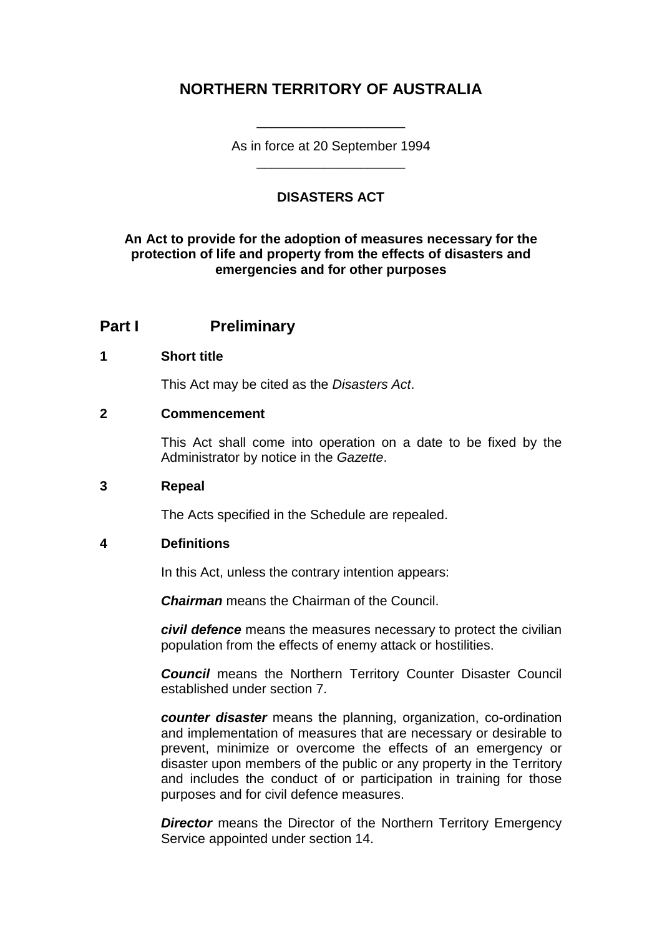## **NORTHERN TERRITORY OF AUSTRALIA**

As in force at 20 September 1994 \_\_\_\_\_\_\_\_\_\_\_\_\_\_\_\_\_\_\_\_

\_\_\_\_\_\_\_\_\_\_\_\_\_\_\_\_\_\_\_\_

### **DISASTERS ACT**

#### **An Act to provide for the adoption of measures necessary for the protection of life and property from the effects of disasters and emergencies and for other purposes**

### **Part I Preliminary**

#### **1 Short title**

This Act may be cited as the *Disasters Act*.

#### **2 Commencement**

This Act shall come into operation on a date to be fixed by the Administrator by notice in the *Gazette*.

#### **3 Repeal**

The Acts specified in the Schedule are repealed.

#### **4 Definitions**

In this Act, unless the contrary intention appears:

*Chairman* means the Chairman of the Council.

*civil defence* means the measures necessary to protect the civilian population from the effects of enemy attack or hostilities.

*Council* means the Northern Territory Counter Disaster Council established under section 7.

*counter disaster* means the planning, organization, co-ordination and implementation of measures that are necessary or desirable to prevent, minimize or overcome the effects of an emergency or disaster upon members of the public or any property in the Territory and includes the conduct of or participation in training for those purposes and for civil defence measures.

**Director** means the Director of the Northern Territory Emergency Service appointed under section 14.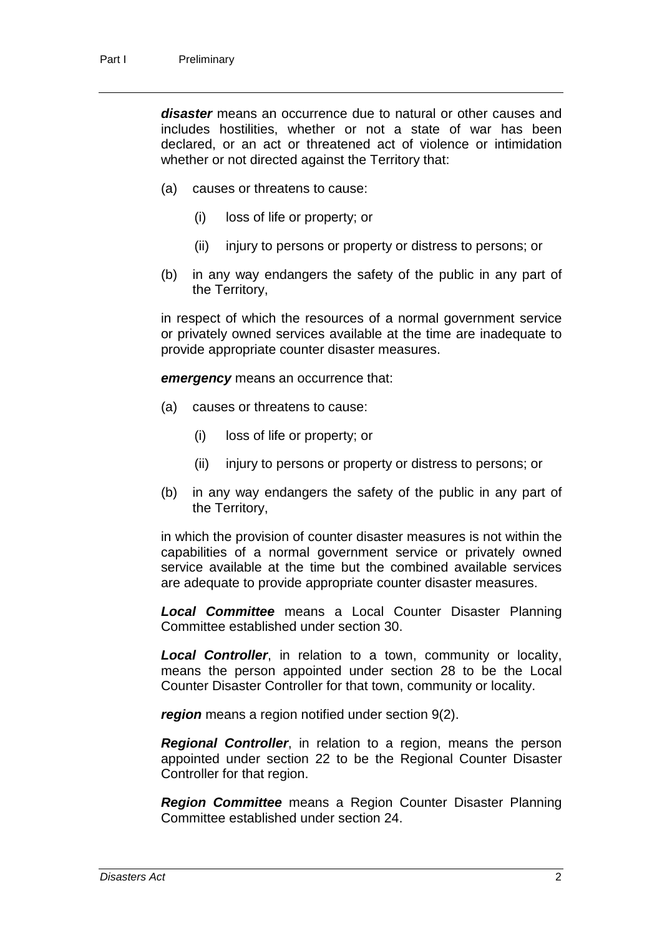*disaster* means an occurrence due to natural or other causes and includes hostilities, whether or not a state of war has been declared, or an act or threatened act of violence or intimidation whether or not directed against the Territory that:

- (a) causes or threatens to cause:
	- (i) loss of life or property; or
	- (ii) injury to persons or property or distress to persons; or
- (b) in any way endangers the safety of the public in any part of the Territory,

in respect of which the resources of a normal government service or privately owned services available at the time are inadequate to provide appropriate counter disaster measures.

*emergency* means an occurrence that:

- (a) causes or threatens to cause:
	- (i) loss of life or property; or
	- (ii) injury to persons or property or distress to persons; or
- (b) in any way endangers the safety of the public in any part of the Territory,

in which the provision of counter disaster measures is not within the capabilities of a normal government service or privately owned service available at the time but the combined available services are adequate to provide appropriate counter disaster measures.

*Local Committee* means a Local Counter Disaster Planning Committee established under section 30.

*Local Controller*, in relation to a town, community or locality, means the person appointed under section 28 to be the Local Counter Disaster Controller for that town, community or locality.

*region* means a region notified under section 9(2).

*Regional Controller*, in relation to a region, means the person appointed under section 22 to be the Regional Counter Disaster Controller for that region.

*Region Committee* means a Region Counter Disaster Planning Committee established under section 24.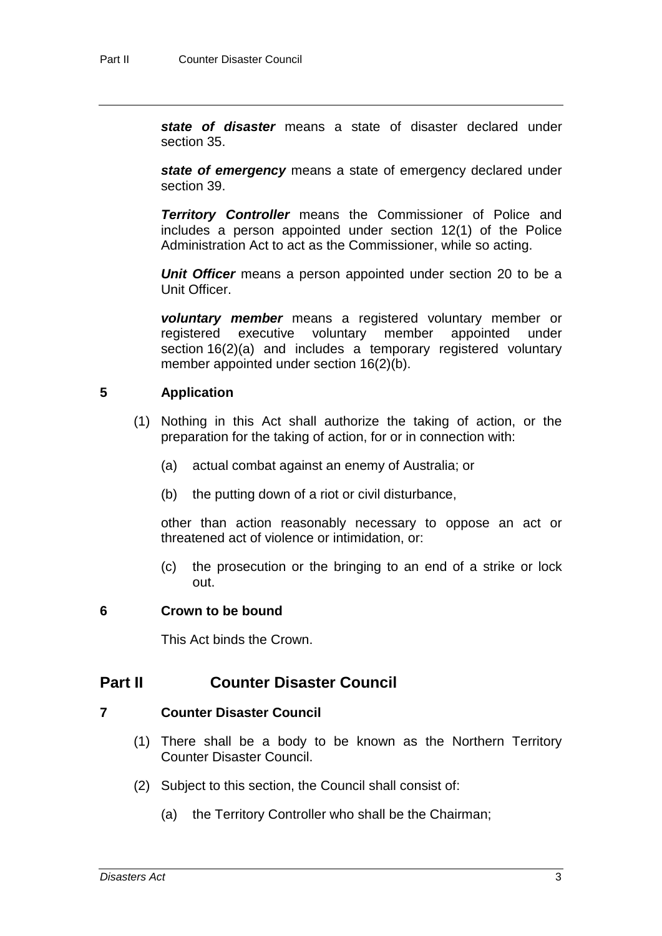*state of disaster* means a state of disaster declared under section 35.

*state of emergency* means a state of emergency declared under section 39.

*Territory Controller* means the Commissioner of Police and includes a person appointed under section 12(1) of the Police Administration Act to act as the Commissioner, while so acting.

*Unit Officer* means a person appointed under section 20 to be a Unit Officer.

*voluntary member* means a registered voluntary member or registered executive voluntary member appointed under section 16(2)(a) and includes a temporary registered voluntary member appointed under section 16(2)(b).

#### **5 Application**

- (1) Nothing in this Act shall authorize the taking of action, or the preparation for the taking of action, for or in connection with:
	- (a) actual combat against an enemy of Australia; or
	- (b) the putting down of a riot or civil disturbance,

other than action reasonably necessary to oppose an act or threatened act of violence or intimidation, or:

(c) the prosecution or the bringing to an end of a strike or lock out.

#### **6 Crown to be bound**

This Act binds the Crown.

## **Part II Counter Disaster Council**

#### **7 Counter Disaster Council**

- (1) There shall be a body to be known as the Northern Territory Counter Disaster Council.
- (2) Subject to this section, the Council shall consist of:
	- (a) the Territory Controller who shall be the Chairman;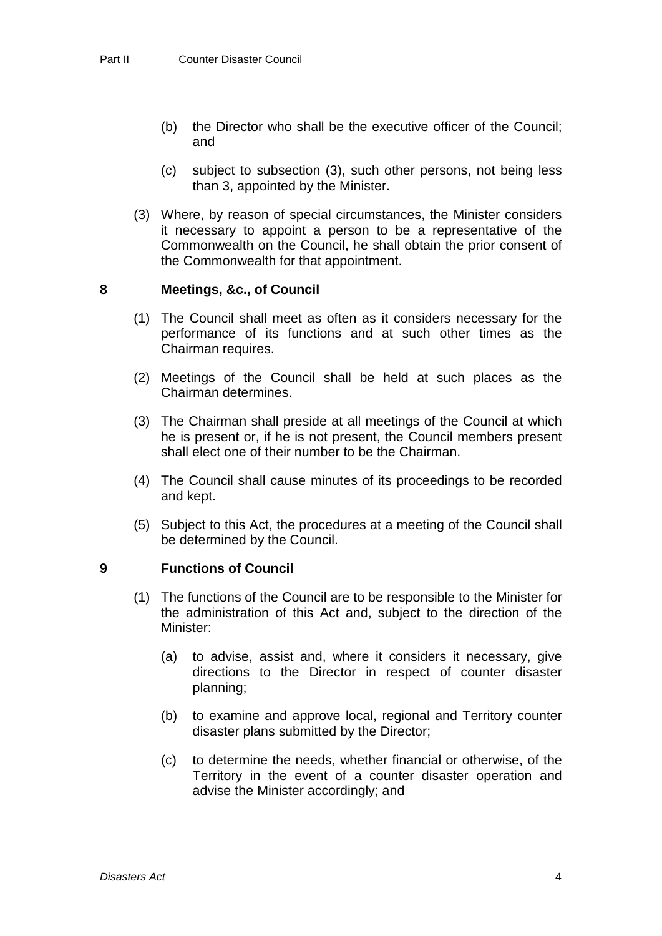- (b) the Director who shall be the executive officer of the Council; and
- (c) subject to subsection (3), such other persons, not being less than 3, appointed by the Minister.
- (3) Where, by reason of special circumstances, the Minister considers it necessary to appoint a person to be a representative of the Commonwealth on the Council, he shall obtain the prior consent of the Commonwealth for that appointment.

#### **8 Meetings, &c., of Council**

- (1) The Council shall meet as often as it considers necessary for the performance of its functions and at such other times as the Chairman requires.
- (2) Meetings of the Council shall be held at such places as the Chairman determines.
- (3) The Chairman shall preside at all meetings of the Council at which he is present or, if he is not present, the Council members present shall elect one of their number to be the Chairman.
- (4) The Council shall cause minutes of its proceedings to be recorded and kept.
- (5) Subject to this Act, the procedures at a meeting of the Council shall be determined by the Council.

#### **9 Functions of Council**

- (1) The functions of the Council are to be responsible to the Minister for the administration of this Act and, subject to the direction of the Minister:
	- (a) to advise, assist and, where it considers it necessary, give directions to the Director in respect of counter disaster planning;
	- (b) to examine and approve local, regional and Territory counter disaster plans submitted by the Director;
	- (c) to determine the needs, whether financial or otherwise, of the Territory in the event of a counter disaster operation and advise the Minister accordingly; and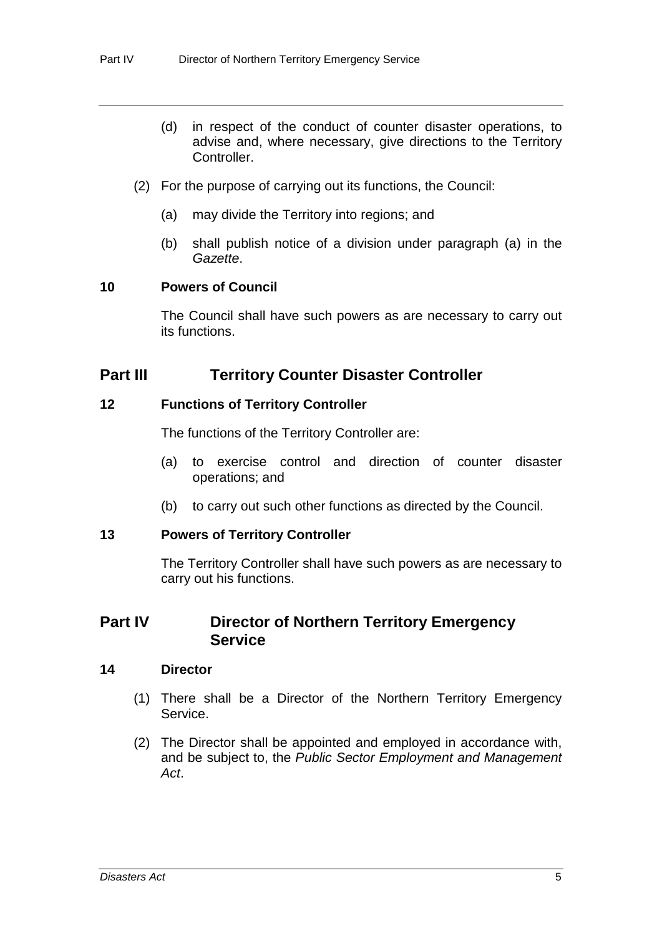- (d) in respect of the conduct of counter disaster operations, to advise and, where necessary, give directions to the Territory Controller.
- (2) For the purpose of carrying out its functions, the Council:
	- (a) may divide the Territory into regions; and
	- (b) shall publish notice of a division under paragraph (a) in the *Gazette*.

#### **10 Powers of Council**

The Council shall have such powers as are necessary to carry out its functions.

### **Part III Territory Counter Disaster Controller**

#### **12 Functions of Territory Controller**

The functions of the Territory Controller are:

- (a) to exercise control and direction of counter disaster operations; and
- (b) to carry out such other functions as directed by the Council.

#### **13 Powers of Territory Controller**

The Territory Controller shall have such powers as are necessary to carry out his functions.

### **Part IV Director of Northern Territory Emergency Service**

#### **14 Director**

- (1) There shall be a Director of the Northern Territory Emergency Service.
- (2) The Director shall be appointed and employed in accordance with, and be subject to, the *Public Sector Employment and Management Act*.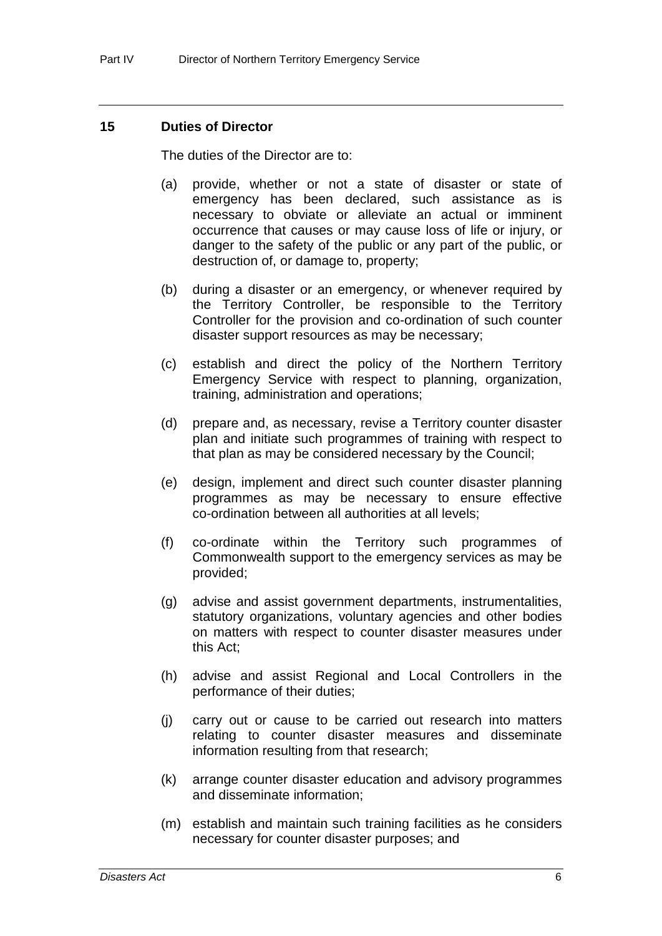#### **15 Duties of Director**

The duties of the Director are to:

- (a) provide, whether or not a state of disaster or state of emergency has been declared, such assistance as is necessary to obviate or alleviate an actual or imminent occurrence that causes or may cause loss of life or injury, or danger to the safety of the public or any part of the public, or destruction of, or damage to, property;
- (b) during a disaster or an emergency, or whenever required by the Territory Controller, be responsible to the Territory Controller for the provision and co-ordination of such counter disaster support resources as may be necessary;
- (c) establish and direct the policy of the Northern Territory Emergency Service with respect to planning, organization, training, administration and operations;
- (d) prepare and, as necessary, revise a Territory counter disaster plan and initiate such programmes of training with respect to that plan as may be considered necessary by the Council;
- (e) design, implement and direct such counter disaster planning programmes as may be necessary to ensure effective co-ordination between all authorities at all levels;
- (f) co-ordinate within the Territory such programmes of Commonwealth support to the emergency services as may be provided;
- (g) advise and assist government departments, instrumentalities, statutory organizations, voluntary agencies and other bodies on matters with respect to counter disaster measures under this Act;
- (h) advise and assist Regional and Local Controllers in the performance of their duties;
- (j) carry out or cause to be carried out research into matters relating to counter disaster measures and disseminate information resulting from that research;
- (k) arrange counter disaster education and advisory programmes and disseminate information;
- (m) establish and maintain such training facilities as he considers necessary for counter disaster purposes; and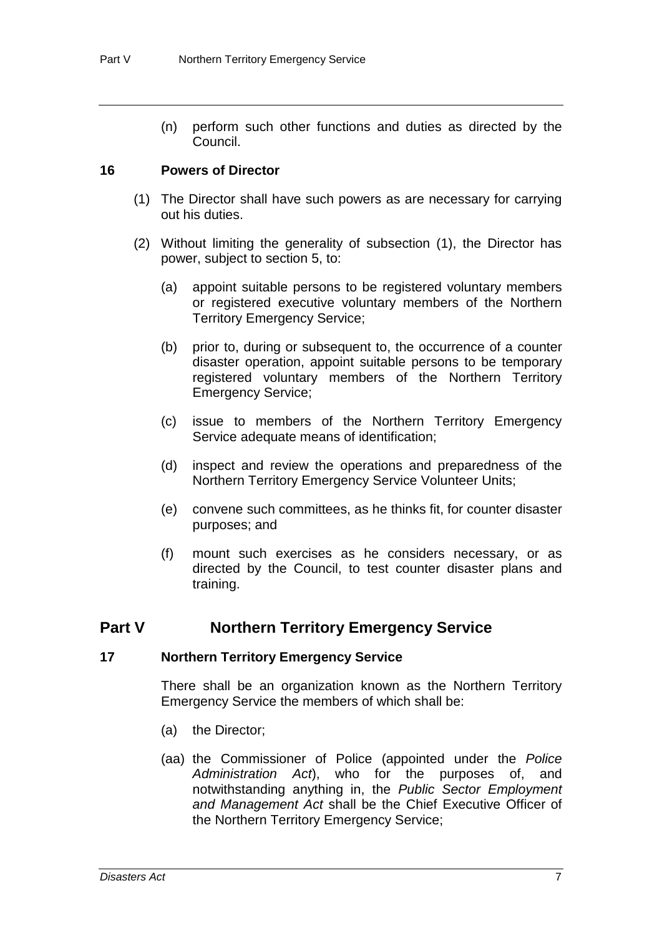(n) perform such other functions and duties as directed by the Council.

#### **16 Powers of Director**

- (1) The Director shall have such powers as are necessary for carrying out his duties.
- (2) Without limiting the generality of subsection (1), the Director has power, subject to section 5, to:
	- (a) appoint suitable persons to be registered voluntary members or registered executive voluntary members of the Northern Territory Emergency Service;
	- (b) prior to, during or subsequent to, the occurrence of a counter disaster operation, appoint suitable persons to be temporary registered voluntary members of the Northern Territory Emergency Service;
	- (c) issue to members of the Northern Territory Emergency Service adequate means of identification;
	- (d) inspect and review the operations and preparedness of the Northern Territory Emergency Service Volunteer Units;
	- (e) convene such committees, as he thinks fit, for counter disaster purposes; and
	- (f) mount such exercises as he considers necessary, or as directed by the Council, to test counter disaster plans and training.

## **Part V Northern Territory Emergency Service**

#### **17 Northern Territory Emergency Service**

There shall be an organization known as the Northern Territory Emergency Service the members of which shall be:

- (a) the Director;
- (aa) the Commissioner of Police (appointed under the *Police Administration Act*), who for the purposes of, and notwithstanding anything in, the *Public Sector Employment and Management Act* shall be the Chief Executive Officer of the Northern Territory Emergency Service;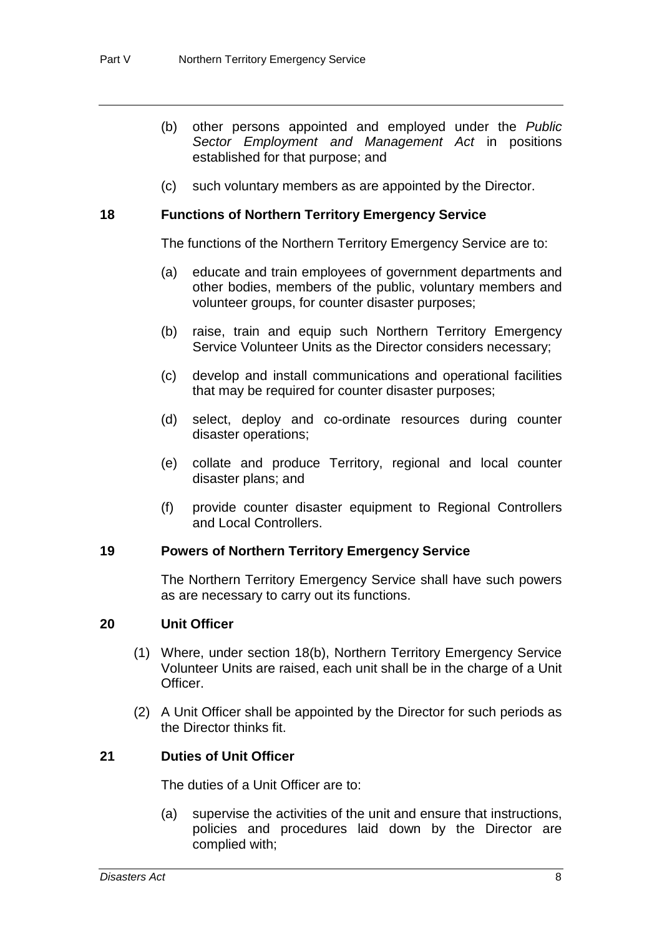- (b) other persons appointed and employed under the *Public Sector Employment and Management Act* in positions established for that purpose; and
- (c) such voluntary members as are appointed by the Director.

#### **18 Functions of Northern Territory Emergency Service**

The functions of the Northern Territory Emergency Service are to:

- (a) educate and train employees of government departments and other bodies, members of the public, voluntary members and volunteer groups, for counter disaster purposes;
- (b) raise, train and equip such Northern Territory Emergency Service Volunteer Units as the Director considers necessary;
- (c) develop and install communications and operational facilities that may be required for counter disaster purposes;
- (d) select, deploy and co-ordinate resources during counter disaster operations;
- (e) collate and produce Territory, regional and local counter disaster plans; and
- (f) provide counter disaster equipment to Regional Controllers and Local Controllers.

#### **19 Powers of Northern Territory Emergency Service**

The Northern Territory Emergency Service shall have such powers as are necessary to carry out its functions.

#### **20 Unit Officer**

- (1) Where, under section 18(b), Northern Territory Emergency Service Volunteer Units are raised, each unit shall be in the charge of a Unit Officer.
- (2) A Unit Officer shall be appointed by the Director for such periods as the Director thinks fit.

#### **21 Duties of Unit Officer**

The duties of a Unit Officer are to:

(a) supervise the activities of the unit and ensure that instructions, policies and procedures laid down by the Director are complied with;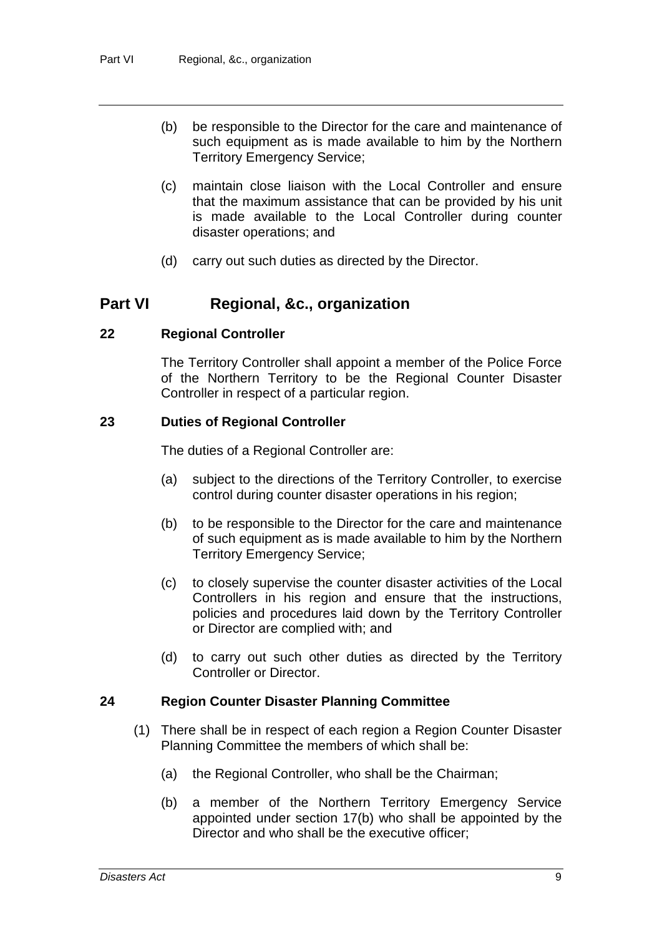- (b) be responsible to the Director for the care and maintenance of such equipment as is made available to him by the Northern Territory Emergency Service;
- (c) maintain close liaison with the Local Controller and ensure that the maximum assistance that can be provided by his unit is made available to the Local Controller during counter disaster operations; and
- (d) carry out such duties as directed by the Director.

## **Part VI Regional, &c., organization**

#### **22 Regional Controller**

The Territory Controller shall appoint a member of the Police Force of the Northern Territory to be the Regional Counter Disaster Controller in respect of a particular region.

#### **23 Duties of Regional Controller**

The duties of a Regional Controller are:

- (a) subject to the directions of the Territory Controller, to exercise control during counter disaster operations in his region;
- (b) to be responsible to the Director for the care and maintenance of such equipment as is made available to him by the Northern Territory Emergency Service;
- (c) to closely supervise the counter disaster activities of the Local Controllers in his region and ensure that the instructions, policies and procedures laid down by the Territory Controller or Director are complied with; and
- (d) to carry out such other duties as directed by the Territory Controller or Director.

#### **24 Region Counter Disaster Planning Committee**

- (1) There shall be in respect of each region a Region Counter Disaster Planning Committee the members of which shall be:
	- (a) the Regional Controller, who shall be the Chairman;
	- (b) a member of the Northern Territory Emergency Service appointed under section 17(b) who shall be appointed by the Director and who shall be the executive officer;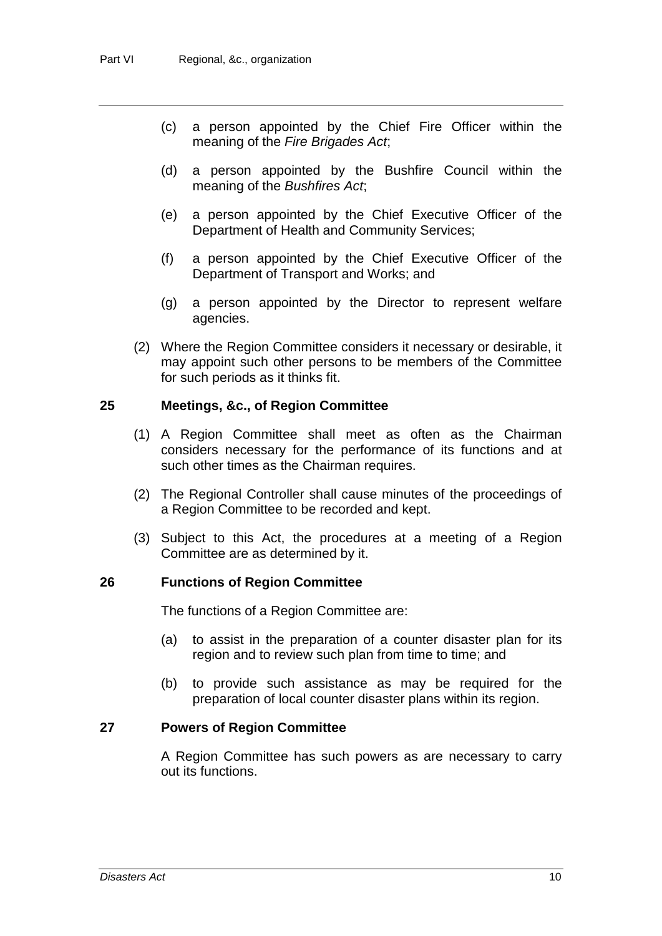- (c) a person appointed by the Chief Fire Officer within the meaning of the *Fire Brigades Act*;
- (d) a person appointed by the Bushfire Council within the meaning of the *Bushfires Act*;
- (e) a person appointed by the Chief Executive Officer of the Department of Health and Community Services;
- (f) a person appointed by the Chief Executive Officer of the Department of Transport and Works; and
- (g) a person appointed by the Director to represent welfare agencies.
- (2) Where the Region Committee considers it necessary or desirable, it may appoint such other persons to be members of the Committee for such periods as it thinks fit.

#### **25 Meetings, &c., of Region Committee**

- (1) A Region Committee shall meet as often as the Chairman considers necessary for the performance of its functions and at such other times as the Chairman requires.
- (2) The Regional Controller shall cause minutes of the proceedings of a Region Committee to be recorded and kept.
- (3) Subject to this Act, the procedures at a meeting of a Region Committee are as determined by it.

#### **26 Functions of Region Committee**

The functions of a Region Committee are:

- (a) to assist in the preparation of a counter disaster plan for its region and to review such plan from time to time; and
- (b) to provide such assistance as may be required for the preparation of local counter disaster plans within its region.

#### **27 Powers of Region Committee**

A Region Committee has such powers as are necessary to carry out its functions.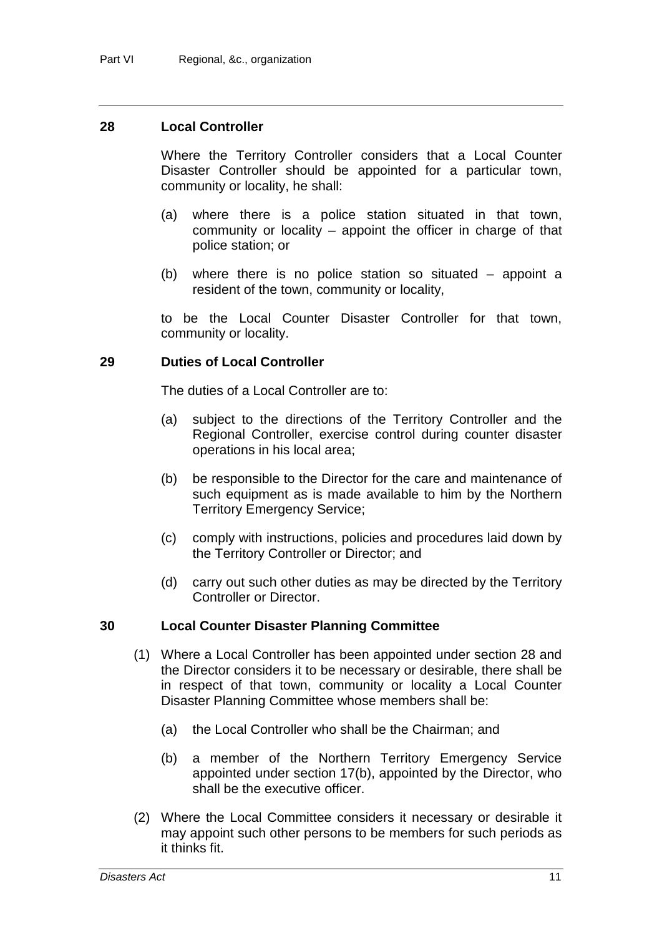#### **28 Local Controller**

Where the Territory Controller considers that a Local Counter Disaster Controller should be appointed for a particular town, community or locality, he shall:

- (a) where there is a police station situated in that town, community or locality – appoint the officer in charge of that police station; or
- (b) where there is no police station so situated appoint a resident of the town, community or locality,

to be the Local Counter Disaster Controller for that town, community or locality.

#### **29 Duties of Local Controller**

The duties of a Local Controller are to:

- (a) subject to the directions of the Territory Controller and the Regional Controller, exercise control during counter disaster operations in his local area;
- (b) be responsible to the Director for the care and maintenance of such equipment as is made available to him by the Northern Territory Emergency Service;
- (c) comply with instructions, policies and procedures laid down by the Territory Controller or Director; and
- (d) carry out such other duties as may be directed by the Territory Controller or Director.

#### **30 Local Counter Disaster Planning Committee**

- (1) Where a Local Controller has been appointed under section 28 and the Director considers it to be necessary or desirable, there shall be in respect of that town, community or locality a Local Counter Disaster Planning Committee whose members shall be:
	- (a) the Local Controller who shall be the Chairman; and
	- (b) a member of the Northern Territory Emergency Service appointed under section 17(b), appointed by the Director, who shall be the executive officer.
- (2) Where the Local Committee considers it necessary or desirable it may appoint such other persons to be members for such periods as it thinks fit.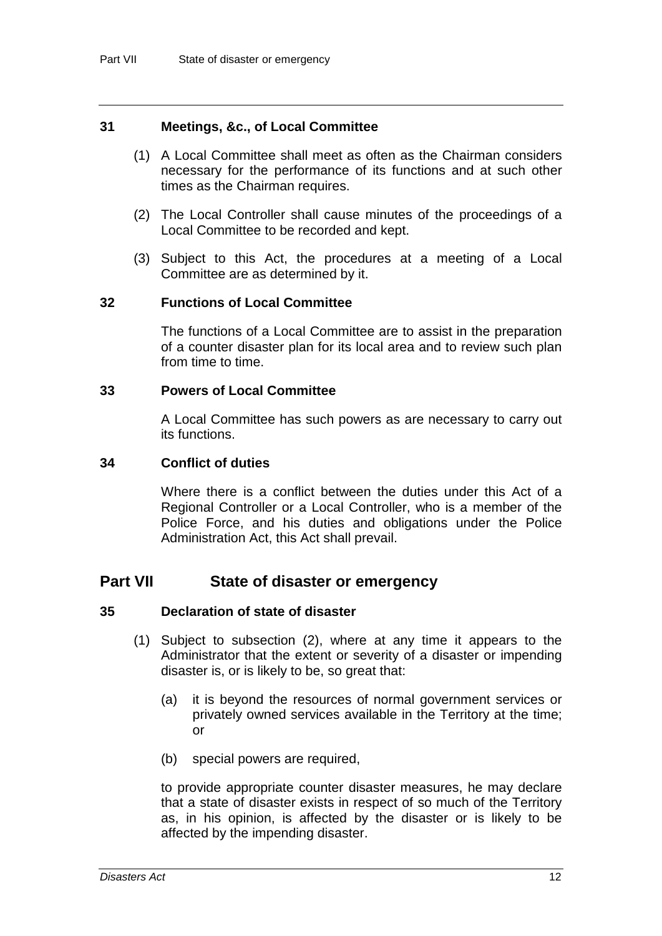#### **31 Meetings, &c., of Local Committee**

- (1) A Local Committee shall meet as often as the Chairman considers necessary for the performance of its functions and at such other times as the Chairman requires.
- (2) The Local Controller shall cause minutes of the proceedings of a Local Committee to be recorded and kept.
- (3) Subject to this Act, the procedures at a meeting of a Local Committee are as determined by it.

#### **32 Functions of Local Committee**

The functions of a Local Committee are to assist in the preparation of a counter disaster plan for its local area and to review such plan from time to time.

#### **33 Powers of Local Committee**

A Local Committee has such powers as are necessary to carry out its functions.

#### **34 Conflict of duties**

Where there is a conflict between the duties under this Act of a Regional Controller or a Local Controller, who is a member of the Police Force, and his duties and obligations under the Police Administration Act, this Act shall prevail.

### **Part VII State of disaster or emergency**

#### **35 Declaration of state of disaster**

- (1) Subject to subsection (2), where at any time it appears to the Administrator that the extent or severity of a disaster or impending disaster is, or is likely to be, so great that:
	- (a) it is beyond the resources of normal government services or privately owned services available in the Territory at the time; or
	- (b) special powers are required,

to provide appropriate counter disaster measures, he may declare that a state of disaster exists in respect of so much of the Territory as, in his opinion, is affected by the disaster or is likely to be affected by the impending disaster.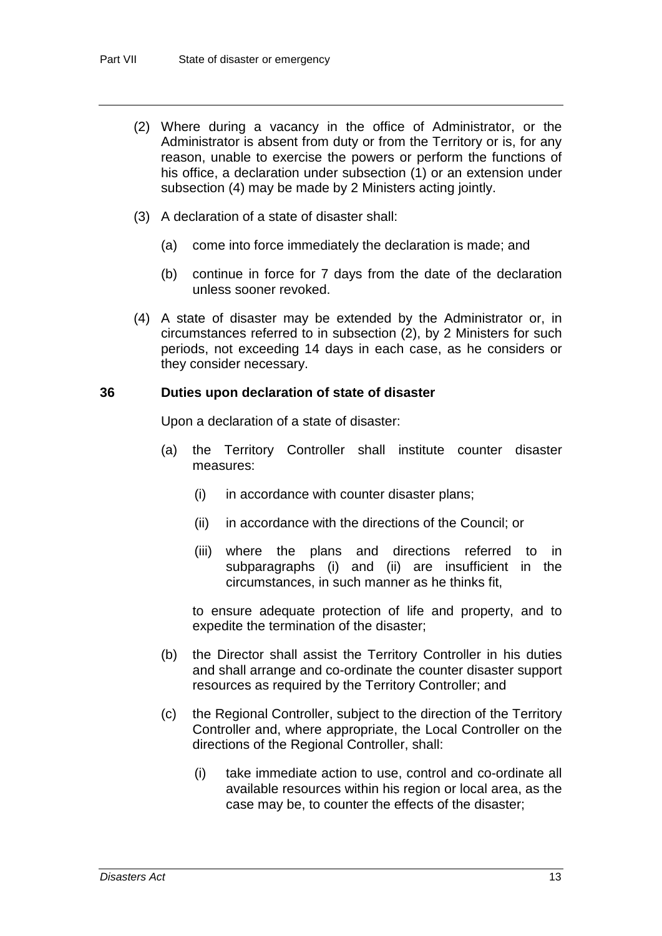- (2) Where during a vacancy in the office of Administrator, or the Administrator is absent from duty or from the Territory or is, for any reason, unable to exercise the powers or perform the functions of his office, a declaration under subsection (1) or an extension under subsection (4) may be made by 2 Ministers acting jointly.
- (3) A declaration of a state of disaster shall:
	- (a) come into force immediately the declaration is made; and
	- (b) continue in force for 7 days from the date of the declaration unless sooner revoked.
- (4) A state of disaster may be extended by the Administrator or, in circumstances referred to in subsection (2), by 2 Ministers for such periods, not exceeding 14 days in each case, as he considers or they consider necessary.

#### **36 Duties upon declaration of state of disaster**

Upon a declaration of a state of disaster:

- (a) the Territory Controller shall institute counter disaster measures:
	- (i) in accordance with counter disaster plans;
	- (ii) in accordance with the directions of the Council; or
	- (iii) where the plans and directions referred to in subparagraphs (i) and (ii) are insufficient in the circumstances, in such manner as he thinks fit,

to ensure adequate protection of life and property, and to expedite the termination of the disaster;

- (b) the Director shall assist the Territory Controller in his duties and shall arrange and co-ordinate the counter disaster support resources as required by the Territory Controller; and
- (c) the Regional Controller, subject to the direction of the Territory Controller and, where appropriate, the Local Controller on the directions of the Regional Controller, shall:
	- (i) take immediate action to use, control and co-ordinate all available resources within his region or local area, as the case may be, to counter the effects of the disaster;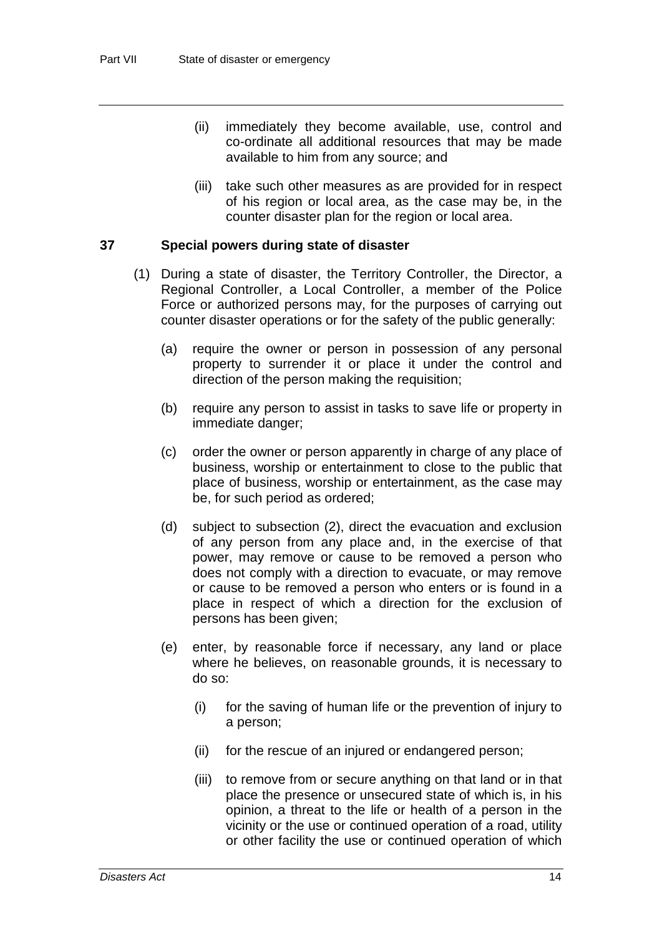- (ii) immediately they become available, use, control and co-ordinate all additional resources that may be made available to him from any source; and
- (iii) take such other measures as are provided for in respect of his region or local area, as the case may be, in the counter disaster plan for the region or local area.

#### **37 Special powers during state of disaster**

- (1) During a state of disaster, the Territory Controller, the Director, a Regional Controller, a Local Controller, a member of the Police Force or authorized persons may, for the purposes of carrying out counter disaster operations or for the safety of the public generally:
	- (a) require the owner or person in possession of any personal property to surrender it or place it under the control and direction of the person making the requisition;
	- (b) require any person to assist in tasks to save life or property in immediate danger;
	- (c) order the owner or person apparently in charge of any place of business, worship or entertainment to close to the public that place of business, worship or entertainment, as the case may be, for such period as ordered;
	- (d) subject to subsection (2), direct the evacuation and exclusion of any person from any place and, in the exercise of that power, may remove or cause to be removed a person who does not comply with a direction to evacuate, or may remove or cause to be removed a person who enters or is found in a place in respect of which a direction for the exclusion of persons has been given;
	- (e) enter, by reasonable force if necessary, any land or place where he believes, on reasonable grounds, it is necessary to do so:
		- (i) for the saving of human life or the prevention of injury to a person;
		- (ii) for the rescue of an injured or endangered person;
		- (iii) to remove from or secure anything on that land or in that place the presence or unsecured state of which is, in his opinion, a threat to the life or health of a person in the vicinity or the use or continued operation of a road, utility or other facility the use or continued operation of which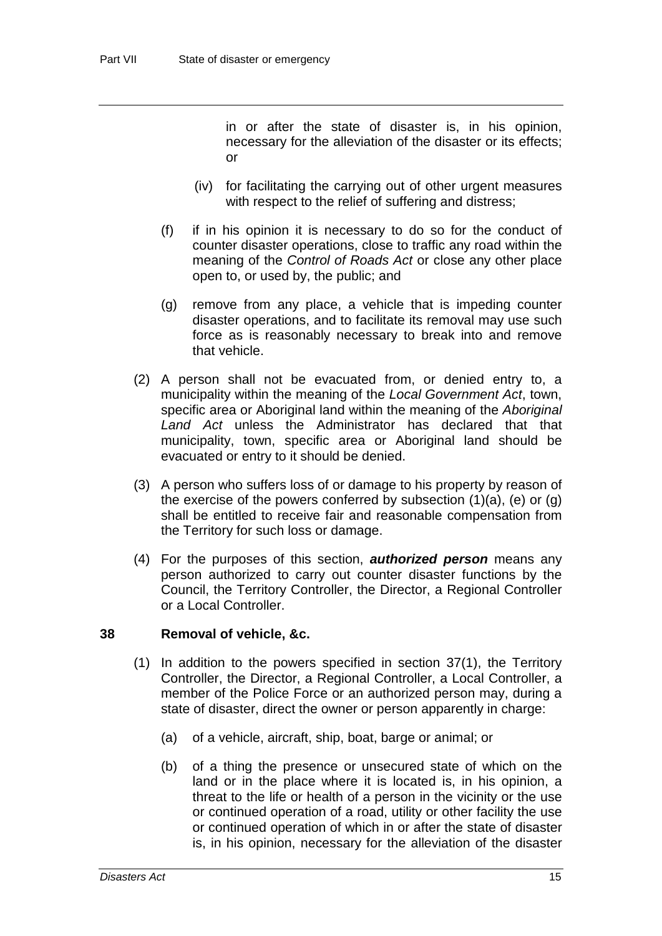in or after the state of disaster is, in his opinion, necessary for the alleviation of the disaster or its effects; or

- (iv) for facilitating the carrying out of other urgent measures with respect to the relief of suffering and distress;
- (f) if in his opinion it is necessary to do so for the conduct of counter disaster operations, close to traffic any road within the meaning of the *Control of Roads Act* or close any other place open to, or used by, the public; and
- (g) remove from any place, a vehicle that is impeding counter disaster operations, and to facilitate its removal may use such force as is reasonably necessary to break into and remove that vehicle.
- (2) A person shall not be evacuated from, or denied entry to, a municipality within the meaning of the *Local Government Act*, town, specific area or Aboriginal land within the meaning of the *Aboriginal Land Act* unless the Administrator has declared that that municipality, town, specific area or Aboriginal land should be evacuated or entry to it should be denied.
- (3) A person who suffers loss of or damage to his property by reason of the exercise of the powers conferred by subsection  $(1)(a)$ ,  $(e)$  or  $(g)$ shall be entitled to receive fair and reasonable compensation from the Territory for such loss or damage.
- (4) For the purposes of this section, *authorized person* means any person authorized to carry out counter disaster functions by the Council, the Territory Controller, the Director, a Regional Controller or a Local Controller.

#### **38 Removal of vehicle, &c.**

- (1) In addition to the powers specified in section 37(1), the Territory Controller, the Director, a Regional Controller, a Local Controller, a member of the Police Force or an authorized person may, during a state of disaster, direct the owner or person apparently in charge:
	- (a) of a vehicle, aircraft, ship, boat, barge or animal; or
	- (b) of a thing the presence or unsecured state of which on the land or in the place where it is located is, in his opinion, a threat to the life or health of a person in the vicinity or the use or continued operation of a road, utility or other facility the use or continued operation of which in or after the state of disaster is, in his opinion, necessary for the alleviation of the disaster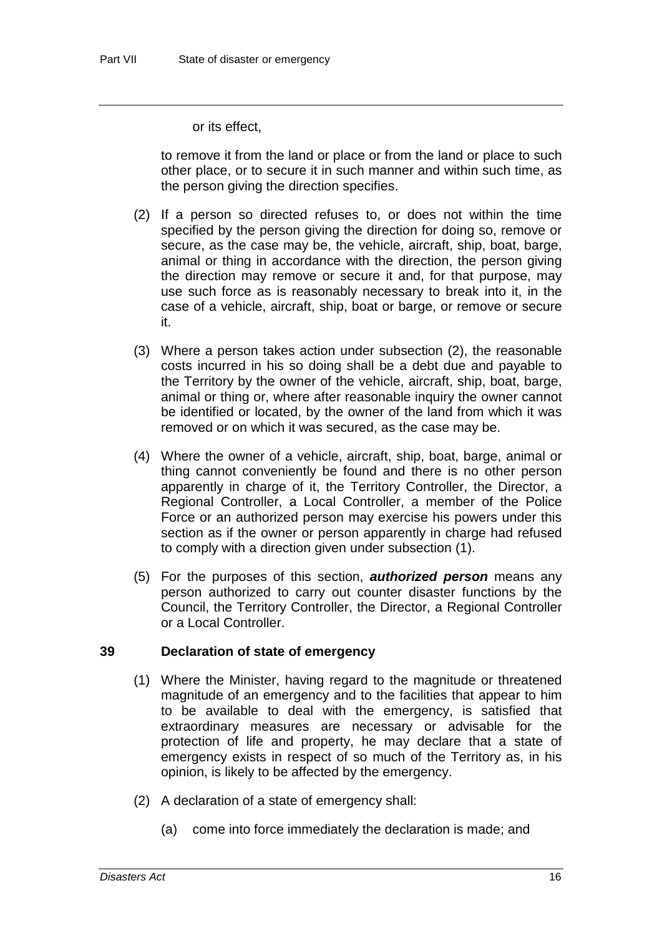or its effect,

to remove it from the land or place or from the land or place to such other place, or to secure it in such manner and within such time, as the person giving the direction specifies.

- (2) If a person so directed refuses to, or does not within the time specified by the person giving the direction for doing so, remove or secure, as the case may be, the vehicle, aircraft, ship, boat, barge, animal or thing in accordance with the direction, the person giving the direction may remove or secure it and, for that purpose, may use such force as is reasonably necessary to break into it, in the case of a vehicle, aircraft, ship, boat or barge, or remove or secure it.
- (3) Where a person takes action under subsection (2), the reasonable costs incurred in his so doing shall be a debt due and payable to the Territory by the owner of the vehicle, aircraft, ship, boat, barge, animal or thing or, where after reasonable inquiry the owner cannot be identified or located, by the owner of the land from which it was removed or on which it was secured, as the case may be.
- (4) Where the owner of a vehicle, aircraft, ship, boat, barge, animal or thing cannot conveniently be found and there is no other person apparently in charge of it, the Territory Controller, the Director, a Regional Controller, a Local Controller, a member of the Police Force or an authorized person may exercise his powers under this section as if the owner or person apparently in charge had refused to comply with a direction given under subsection (1).
- (5) For the purposes of this section, *authorized person* means any person authorized to carry out counter disaster functions by the Council, the Territory Controller, the Director, a Regional Controller or a Local Controller.

#### **39 Declaration of state of emergency**

- (1) Where the Minister, having regard to the magnitude or threatened magnitude of an emergency and to the facilities that appear to him to be available to deal with the emergency, is satisfied that extraordinary measures are necessary or advisable for the protection of life and property, he may declare that a state of emergency exists in respect of so much of the Territory as, in his opinion, is likely to be affected by the emergency.
- (2) A declaration of a state of emergency shall:
	- (a) come into force immediately the declaration is made; and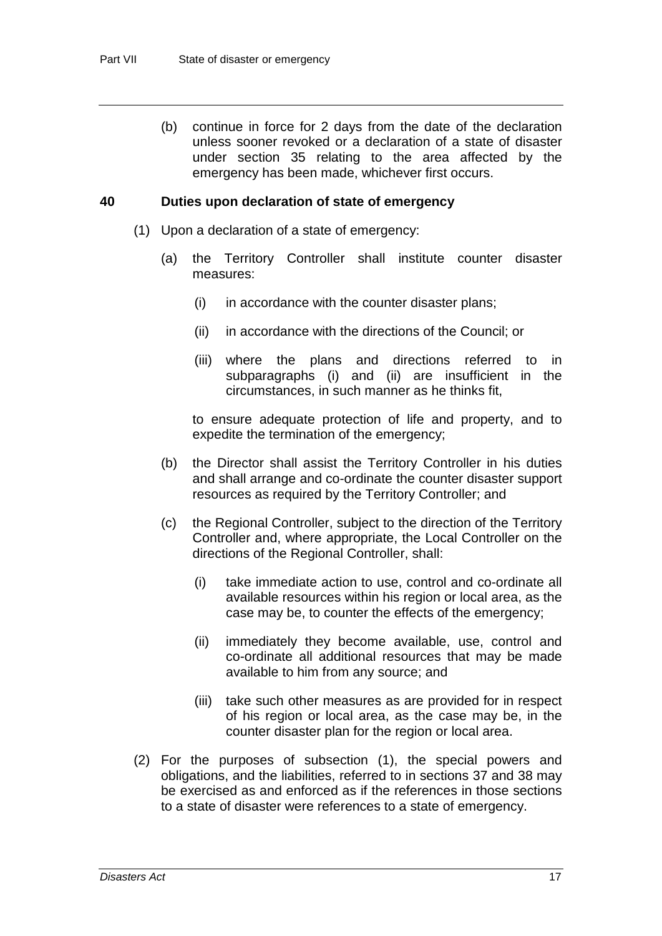(b) continue in force for 2 days from the date of the declaration unless sooner revoked or a declaration of a state of disaster under section 35 relating to the area affected by the emergency has been made, whichever first occurs.

#### **40 Duties upon declaration of state of emergency**

- (1) Upon a declaration of a state of emergency:
	- (a) the Territory Controller shall institute counter disaster measures:
		- (i) in accordance with the counter disaster plans;
		- (ii) in accordance with the directions of the Council; or
		- (iii) where the plans and directions referred to in subparagraphs (i) and (ii) are insufficient in the circumstances, in such manner as he thinks fit,

to ensure adequate protection of life and property, and to expedite the termination of the emergency;

- (b) the Director shall assist the Territory Controller in his duties and shall arrange and co-ordinate the counter disaster support resources as required by the Territory Controller; and
- (c) the Regional Controller, subject to the direction of the Territory Controller and, where appropriate, the Local Controller on the directions of the Regional Controller, shall:
	- (i) take immediate action to use, control and co-ordinate all available resources within his region or local area, as the case may be, to counter the effects of the emergency;
	- (ii) immediately they become available, use, control and co-ordinate all additional resources that may be made available to him from any source; and
	- (iii) take such other measures as are provided for in respect of his region or local area, as the case may be, in the counter disaster plan for the region or local area.
- (2) For the purposes of subsection (1), the special powers and obligations, and the liabilities, referred to in sections 37 and 38 may be exercised as and enforced as if the references in those sections to a state of disaster were references to a state of emergency.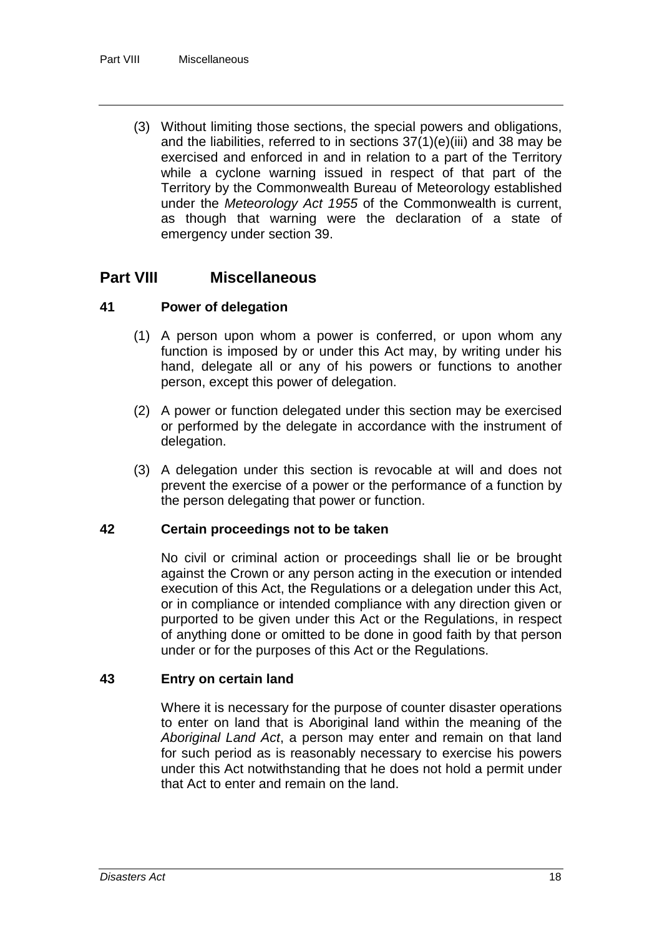(3) Without limiting those sections, the special powers and obligations, and the liabilities, referred to in sections 37(1)(e)(iii) and 38 may be exercised and enforced in and in relation to a part of the Territory while a cyclone warning issued in respect of that part of the Territory by the Commonwealth Bureau of Meteorology established under the *Meteorology Act 1955* of the Commonwealth is current, as though that warning were the declaration of a state of emergency under section 39.

### **Part VIII Miscellaneous**

#### **41 Power of delegation**

- (1) A person upon whom a power is conferred, or upon whom any function is imposed by or under this Act may, by writing under his hand, delegate all or any of his powers or functions to another person, except this power of delegation.
- (2) A power or function delegated under this section may be exercised or performed by the delegate in accordance with the instrument of delegation.
- (3) A delegation under this section is revocable at will and does not prevent the exercise of a power or the performance of a function by the person delegating that power or function.

#### **42 Certain proceedings not to be taken**

No civil or criminal action or proceedings shall lie or be brought against the Crown or any person acting in the execution or intended execution of this Act, the Regulations or a delegation under this Act, or in compliance or intended compliance with any direction given or purported to be given under this Act or the Regulations, in respect of anything done or omitted to be done in good faith by that person under or for the purposes of this Act or the Regulations.

#### **43 Entry on certain land**

Where it is necessary for the purpose of counter disaster operations to enter on land that is Aboriginal land within the meaning of the *Aboriginal Land Act*, a person may enter and remain on that land for such period as is reasonably necessary to exercise his powers under this Act notwithstanding that he does not hold a permit under that Act to enter and remain on the land.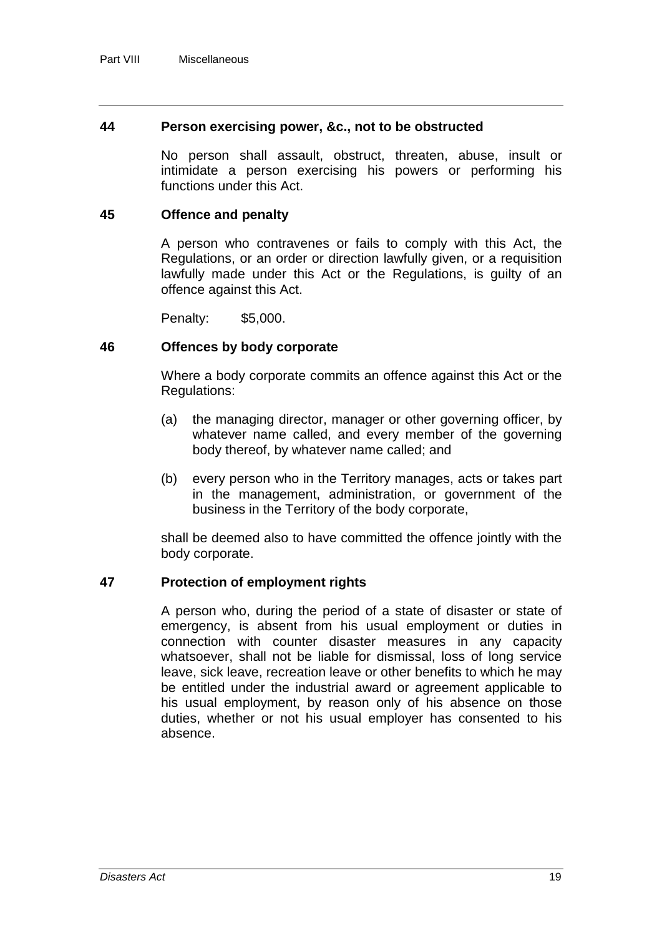#### **44 Person exercising power, &c., not to be obstructed**

No person shall assault, obstruct, threaten, abuse, insult or intimidate a person exercising his powers or performing his functions under this Act.

#### **45 Offence and penalty**

A person who contravenes or fails to comply with this Act, the Regulations, or an order or direction lawfully given, or a requisition lawfully made under this Act or the Regulations, is guilty of an offence against this Act.

Penalty: \$5,000.

#### **46 Offences by body corporate**

Where a body corporate commits an offence against this Act or the Regulations:

- (a) the managing director, manager or other governing officer, by whatever name called, and every member of the governing body thereof, by whatever name called; and
- (b) every person who in the Territory manages, acts or takes part in the management, administration, or government of the business in the Territory of the body corporate,

shall be deemed also to have committed the offence jointly with the body corporate.

#### **47 Protection of employment rights**

A person who, during the period of a state of disaster or state of emergency, is absent from his usual employment or duties in connection with counter disaster measures in any capacity whatsoever, shall not be liable for dismissal, loss of long service leave, sick leave, recreation leave or other benefits to which he may be entitled under the industrial award or agreement applicable to his usual employment, by reason only of his absence on those duties, whether or not his usual employer has consented to his absence.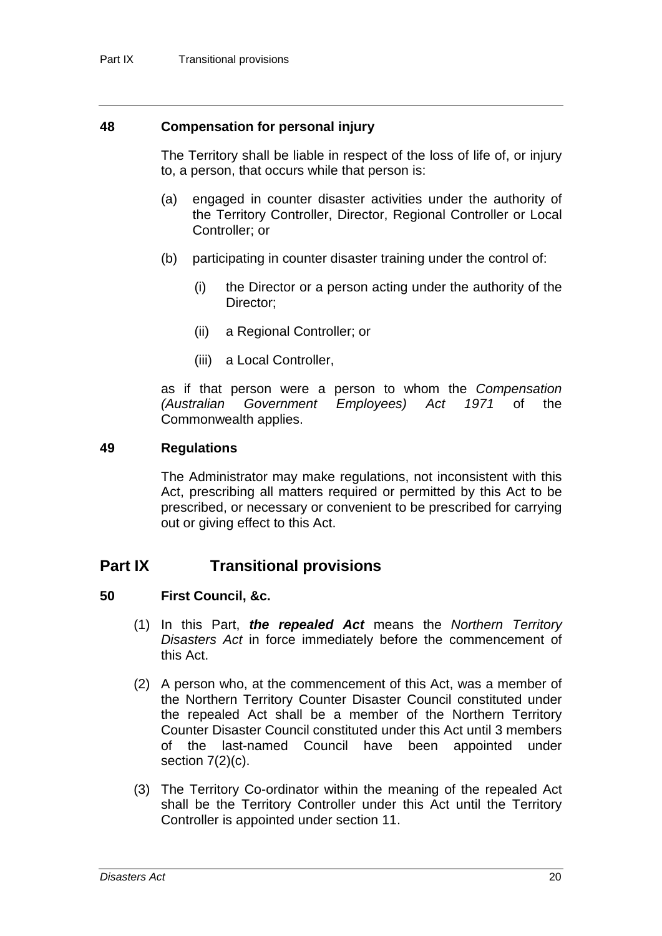#### **48 Compensation for personal injury**

The Territory shall be liable in respect of the loss of life of, or injury to, a person, that occurs while that person is:

- (a) engaged in counter disaster activities under the authority of the Territory Controller, Director, Regional Controller or Local Controller; or
- (b) participating in counter disaster training under the control of:
	- (i) the Director or a person acting under the authority of the Director;
	- (ii) a Regional Controller; or
	- (iii) a Local Controller,

as if that person were a person to whom the *Compensation (Australian Government Employees) Act 1971* of the Commonwealth applies.

#### **49 Regulations**

The Administrator may make regulations, not inconsistent with this Act, prescribing all matters required or permitted by this Act to be prescribed, or necessary or convenient to be prescribed for carrying out or giving effect to this Act.

### **Part IX Transitional provisions**

#### **50 First Council, &c.**

- (1) In this Part, *the repealed Act* means the *Northern Territory Disasters Act* in force immediately before the commencement of this Act.
- (2) A person who, at the commencement of this Act, was a member of the Northern Territory Counter Disaster Council constituted under the repealed Act shall be a member of the Northern Territory Counter Disaster Council constituted under this Act until 3 members of the last-named Council have been appointed under section  $7(2)(c)$ .
- (3) The Territory Co-ordinator within the meaning of the repealed Act shall be the Territory Controller under this Act until the Territory Controller is appointed under section 11.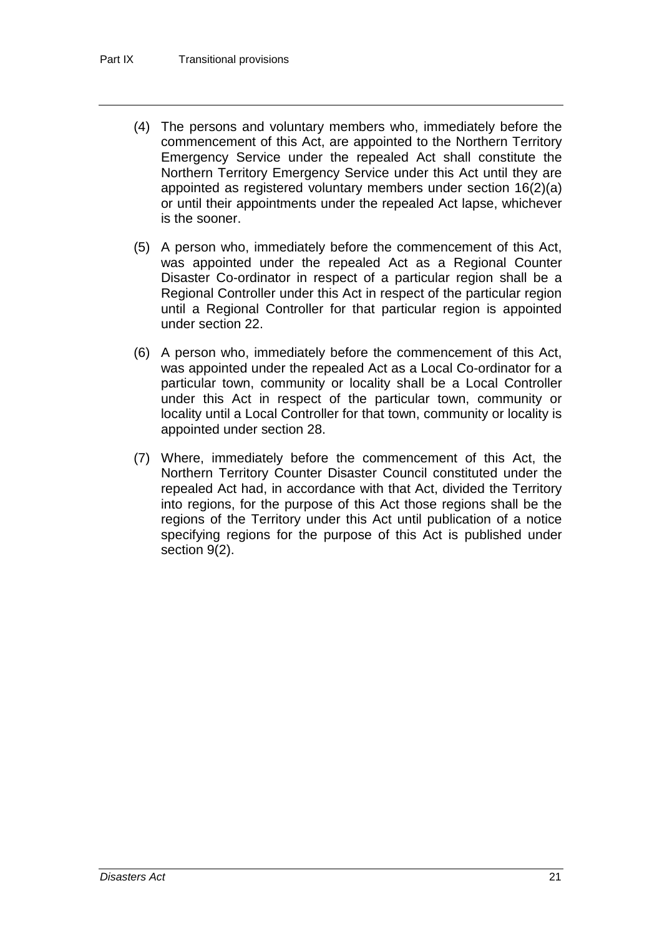- (4) The persons and voluntary members who, immediately before the commencement of this Act, are appointed to the Northern Territory Emergency Service under the repealed Act shall constitute the Northern Territory Emergency Service under this Act until they are appointed as registered voluntary members under section 16(2)(a) or until their appointments under the repealed Act lapse, whichever is the sooner.
- (5) A person who, immediately before the commencement of this Act, was appointed under the repealed Act as a Regional Counter Disaster Co-ordinator in respect of a particular region shall be a Regional Controller under this Act in respect of the particular region until a Regional Controller for that particular region is appointed under section 22.
- (6) A person who, immediately before the commencement of this Act, was appointed under the repealed Act as a Local Co-ordinator for a particular town, community or locality shall be a Local Controller under this Act in respect of the particular town, community or locality until a Local Controller for that town, community or locality is appointed under section 28.
- (7) Where, immediately before the commencement of this Act, the Northern Territory Counter Disaster Council constituted under the repealed Act had, in accordance with that Act, divided the Territory into regions, for the purpose of this Act those regions shall be the regions of the Territory under this Act until publication of a notice specifying regions for the purpose of this Act is published under section 9(2).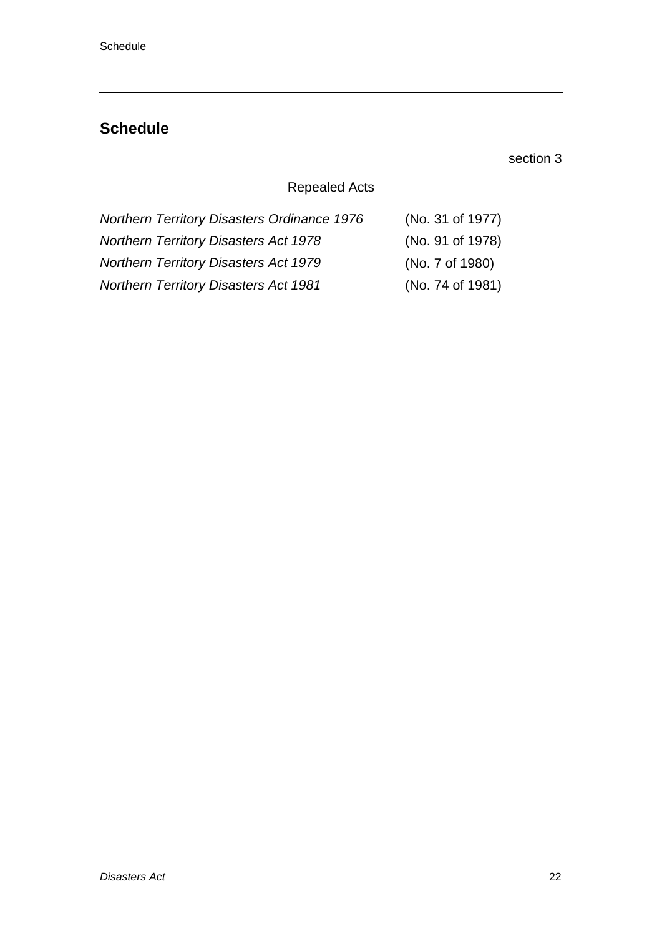## **Schedule**

### section 3

### Repealed Acts

| <b>Northern Territory Disasters Ordinance 1976</b> | (No. 31 of 1977) |
|----------------------------------------------------|------------------|
| <b>Northern Territory Disasters Act 1978</b>       | (No. 91 of 1978) |
| <b>Northern Territory Disasters Act 1979</b>       | (No. 7 of 1980)  |
| <b>Northern Territory Disasters Act 1981</b>       | (No. 74 of 1981) |